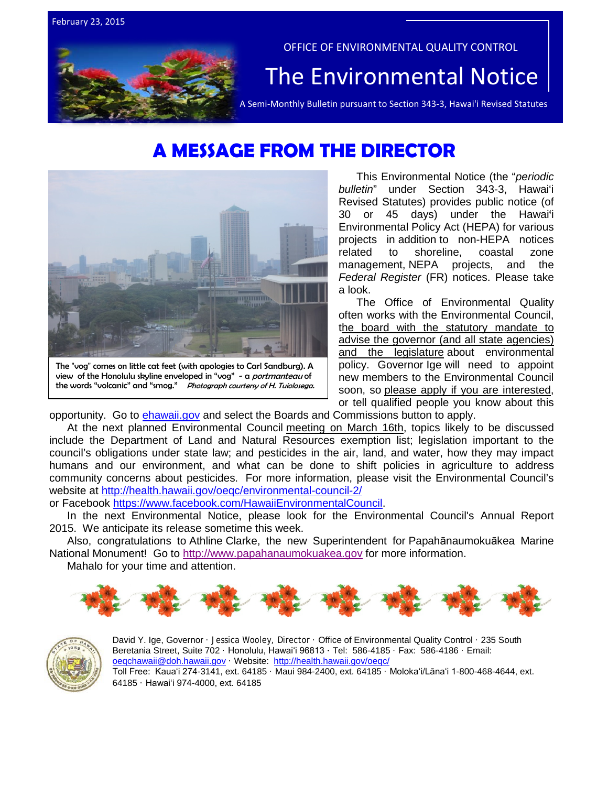

# **A MESSAGE FROM THE DIRECTOR**



The "vog" comes on little cat feet (with apologies to Carl Sandburg). A view of the Honolulu skyline enveloped in "vog" - a portmanteau of the words "volcanic" and "smog." Photograph courtersy of H. Tuiolosega.

This Environmental Notice (the "*periodic bulletin*" under Section 343-3, Hawai'i Revised Statutes) provides public notice (of 30 or 45 days) under the Hawai'i Environmental Policy Act (HEPA) for various projects in addition to non-HEPA notices<br>related to shoreline. coastal zone to shoreline, coastal zone management, NEPA projects, and the *Federal Register* (FR) notices. Please take a look.

The Office of Environmental Quality often works with the Environmental Council, the board with the statutory mandate to advise the governor (and all state agencies) and the legislature about environmental policy. Governor Ige will need to appoint new members to the Environmental Council soon, so please apply if you are interested, or tell qualified people you know about this

opportunity. Go to [ehawaii.gov](http://ehawaii.gov/) and select the Boards and Commissions button to apply.

At the next planned Environmental Council meeting on March 16th, topics likely to be discussed include the Department of Land and Natural Resources exemption list; legislation important to the council's obligations under state law; and pesticides in the air, land, and water, how they may impact humans and our environment, and what can be done to shift policies in agriculture to address community concerns about pesticides. For more information, please visit the Environmental Council's website at<http://health.hawaii.gov/oeqc/environmental-council-2/>

or Facebook [https://www.facebook.com/HawaiiEnvironmentalCouncil.](https://www.facebook.com/HawaiiEnvironmentalCouncil)

In the next Environmental Notice, please look for the Environmental Council's Annual Report 2015. We anticipate its release sometime this week.

Also, congratulations to Athline Clarke, the new Superintendent for Papahānaumokuākea Marine National Monument! Go to [http://www.papahanaumokuakea.gov](http://www.papahanaumokuakea.gov/) for more information.

Mahalo for your time and attention.





David Y. Ige, Governor · Jessica Wooley, Director · Office of Environmental Quality Control · 235 South Beretania Street, Suite 702 · Honolulu, Hawaiʻi 96813 ∙ Tel: 586-4185 · Fax: 586-4186 · Email: [oeqchawaii@doh.hawaii.gov](mailto:oeqchawaii@doh.hawaii.gov) · Website: <http://health.hawaii.gov/oeqc/> Toll Free: Kauaʻi 274-3141, ext. 64185 · Maui 984-2400, ext. 64185 · Molokaʻi/Lānaʻi 1-800-468-4644, ext. 64185 · Hawaiʻi 974-4000, ext. 64185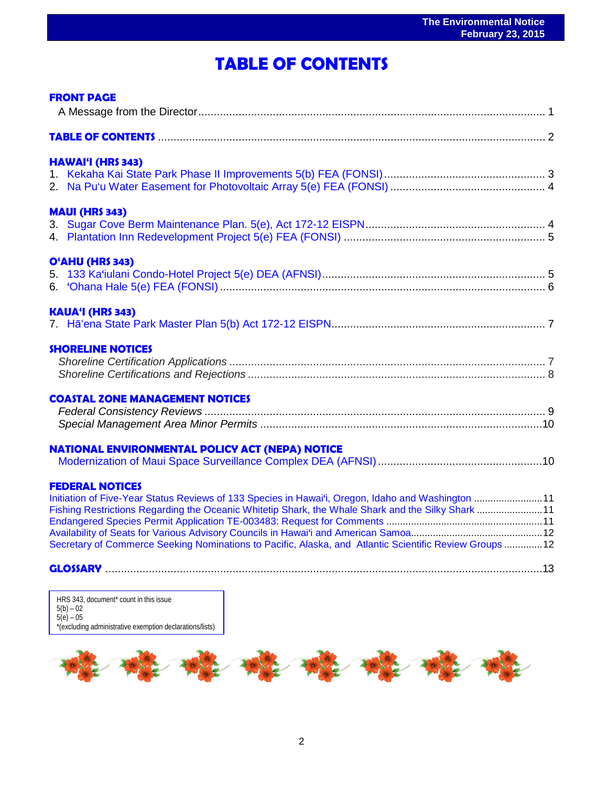# **TABLE OF CONTENTS**

| <b>FRONT PAGE</b>                                                                                                                                                                                                                                                                                                                           |  |
|---------------------------------------------------------------------------------------------------------------------------------------------------------------------------------------------------------------------------------------------------------------------------------------------------------------------------------------------|--|
|                                                                                                                                                                                                                                                                                                                                             |  |
| <b>HAWAI'I (HRS 343)</b>                                                                                                                                                                                                                                                                                                                    |  |
| <b>MAUI (HRS 343)</b>                                                                                                                                                                                                                                                                                                                       |  |
| O'AHU (HRS 343)                                                                                                                                                                                                                                                                                                                             |  |
| <b>KAUA'I (HRS 343)</b>                                                                                                                                                                                                                                                                                                                     |  |
| <b>SHORELINE NOTICES</b>                                                                                                                                                                                                                                                                                                                    |  |
| <b>COASTAL ZONE MANAGEMENT NOTICES</b>                                                                                                                                                                                                                                                                                                      |  |
| <b>NATIONAL ENVIRONMENTAL POLICY ACT (NEPA) NOTICE</b>                                                                                                                                                                                                                                                                                      |  |
| <b>FEDERAL NOTICES</b><br>Initiation of Five-Year Status Reviews of 133 Species in Hawai'i, Oregon, Idaho and Washington 11<br>Fishing Restrictions Regarding the Oceanic Whitetip Shark, the Whale Shark and the Silky Shark 11<br>Secretary of Commerce Seeking Nominations to Pacific, Alaska, and Atlantic Scientific Review Groups  12 |  |
|                                                                                                                                                                                                                                                                                                                                             |  |

HRS 343, document\* count in this issue 5(b) – 02 5(e) – 05 \*(excluding administrative exemption declarations/lists)

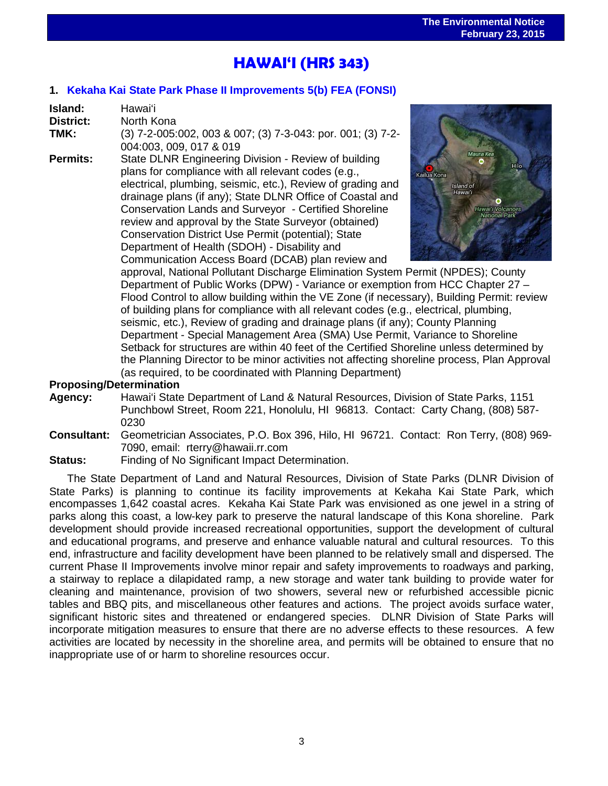# ֖֖֖֖֪֪֪֪֦֪֪֪֪֪֪֦֖֚֚֚֚֚֚֚֚֚֚֚֚֚֚֚֚֚֚֚֚֚֚֚֚֚֬֝֟֓֡֟֓֡֓֝֓֟֓֡֡֟ **HAWAI'I (HRS 343)**

## **1. [Kekaha Kai State Park Phase II Improvements 5\(b\) FEA \(FONSI\)](http://oeqc.doh.hawaii.gov/Shared%20Documents/EA_and_EIS_Online_Library/Hawaii/2010s/2015-02-23-HA-5B-FEA-Kekaha-Kai-State-Park-Phase-II-Improvements.pdf)**

| Island:         | Hawaiʻi                                                                                          |                                    |  |  |  |
|-----------------|--------------------------------------------------------------------------------------------------|------------------------------------|--|--|--|
| District:       | North Kona                                                                                       |                                    |  |  |  |
| TMK:            | (3) 7-2-005:002, 003 & 007; (3) 7-3-043: por. 001; (3) 7-2-<br>004:003, 009, 017 & 019           |                                    |  |  |  |
| <b>Permits:</b> | State DLNR Engineering Division - Review of building                                             | Mauna Kea<br>Hilo                  |  |  |  |
|                 | plans for compliance with all relevant codes (e.g.,                                              | Kailua Kona                        |  |  |  |
|                 | electrical, plumbing, seismic, etc.), Review of grading and                                      | <b>Island</b> of                   |  |  |  |
|                 | drainage plans (if any); State DLNR Office of Coastal and                                        | Hawai'i                            |  |  |  |
|                 | Conservation Lands and Surveyor - Certified Shoreline                                            | Jawai'i Volcanoes<br>National Park |  |  |  |
|                 | review and approval by the State Surveyor (obtained)                                             |                                    |  |  |  |
|                 | Conservation District Use Permit (potential); State                                              |                                    |  |  |  |
|                 | Department of Health (SDOH) - Disability and                                                     |                                    |  |  |  |
|                 | Communication Access Board (DCAB) plan review and                                                |                                    |  |  |  |
|                 | approval, National Pollutant Discharge Elimination System Permit (NPDES); County                 |                                    |  |  |  |
|                 | Department of Public Works (DPW) - Variance or exemption from HCC Chapter 27 -                   |                                    |  |  |  |
|                 | Flood Control to allow building within the VE Zone (if necessary), Building Permit: review       |                                    |  |  |  |
|                 | of building plans for compliance with all relevant codes (e.g., electrical, plumbing,            |                                    |  |  |  |
|                 | seismic, etc.), Review of grading and drainage plans (if any); County Planning                   |                                    |  |  |  |
|                 | Department - Special Management Area (SMA) Use Permit, Variance to Shoreline                     |                                    |  |  |  |
|                 | Cathools for other properties are within 10 feet of the Cortified Charoline unless determined by |                                    |  |  |  |

iance to Shoreline Setback for structures are within 40 feet of the Certified Shoreline unless determined by the Planning Director to be minor activities not affecting shoreline process, Plan Approval (as required, to be coordinated with Planning Department)

## **Proposing/Determination**

- **Agency:** Hawai'i State Department of Land & Natural Resources, Division of State Parks, 1151 Punchbowl Street, Room 221, Honolulu, HI 96813. Contact: Carty Chang, (808) 587- 0230
- **Consultant:** Geometrician Associates, P.O. Box 396, Hilo, HI 96721. Contact: Ron Terry, (808) 969- 7090, email: rterry@hawaii.rr.com
- **Status:** Finding of No Significant Impact Determination.

The State Department of Land and Natural Resources, Division of State Parks (DLNR Division of State Parks) is planning to continue its facility improvements at Kekaha Kai State Park, which encompasses 1,642 coastal acres. Kekaha Kai State Park was envisioned as one jewel in a string of parks along this coast, a low-key park to preserve the natural landscape of this Kona shoreline. Park development should provide increased recreational opportunities, support the development of cultural and educational programs, and preserve and enhance valuable natural and cultural resources. To this end, infrastructure and facility development have been planned to be relatively small and dispersed. The current Phase II Improvements involve minor repair and safety improvements to roadways and parking, a stairway to replace a dilapidated ramp, a new storage and water tank building to provide water for cleaning and maintenance, provision of two showers, several new or refurbished accessible picnic tables and BBQ pits, and miscellaneous other features and actions. The project avoids surface water, significant historic sites and threatened or endangered species. DLNR Division of State Parks will incorporate mitigation measures to ensure that there are no adverse effects to these resources. A few activities are located by necessity in the shoreline area, and permits will be obtained to ensure that no inappropriate use of or harm to shoreline resources occur.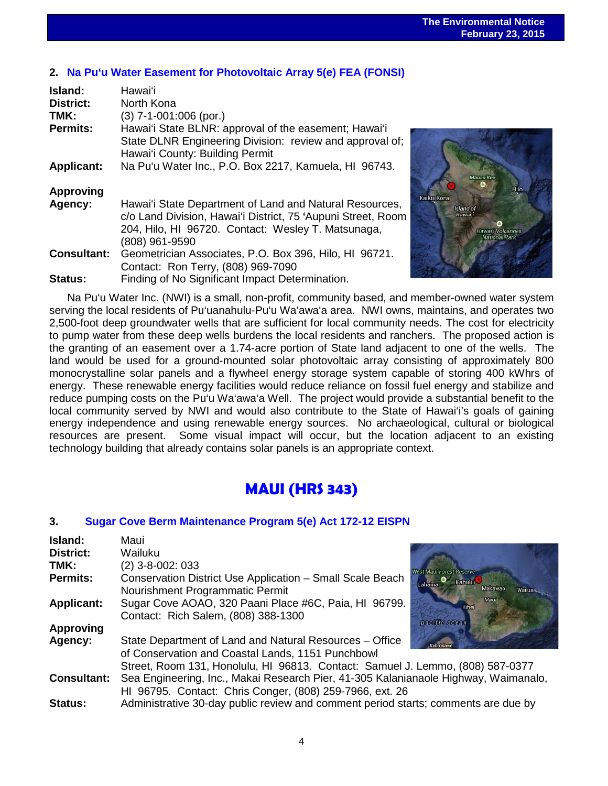## **2. [Na Pu'u Water Easement for Photovoltaic Array 5\(e\) FEA \(FONSI\)](http://oeqc.doh.hawaii.gov/Shared%20Documents/EA_and_EIS_Online_Library/Hawaii/2010s/2015-02-23-HA-5E-FEA-Na-Puu-Water-Easement-for-Photovoltaic-Array.pdf)**

| Island:            | Hawaiʻi                                                                                                                                                                       |
|--------------------|-------------------------------------------------------------------------------------------------------------------------------------------------------------------------------|
| <b>District:</b>   | North Kona                                                                                                                                                                    |
| TMK:               | $(3)$ 7-1-001:006 (por.)                                                                                                                                                      |
| <b>Permits:</b>    | Hawai'i State BLNR: approval of the easement; Hawai'i                                                                                                                         |
|                    | State DLNR Engineering Division: review and approval of;                                                                                                                      |
|                    | Hawai'i County: Building Permit                                                                                                                                               |
| <b>Applicant:</b>  | Na Pu'u Water Inc., P.O. Box 2217, Kamuela, HI 96743.                                                                                                                         |
| <b>Approving</b>   |                                                                                                                                                                               |
| Agency:            | Hawai'i State Department of Land and Natural Resources,<br>c/o Land Division, Hawai'i District, 75 'Aupuni Street, Room<br>204, Hilo, HI 96720. Contact: Wesley T. Matsunaga, |
|                    | (808) 961-9590                                                                                                                                                                |
| <b>Consultant:</b> | Geometrician Associates, P.O. Box 396, Hilo, HI 96721.                                                                                                                        |
|                    | Contact: Ron Terry, (808) 969-7090                                                                                                                                            |
| <b>Status:</b>     | Finding of No Significant Impact Determination.                                                                                                                               |



Na Pu'u Water Inc. (NWI) is a small, non-profit, community based, and member-owned water system serving the local residents of Pu'uanahulu-Pu'u Wa'awa'a area. NWI owns, maintains, and operates two 2,500-foot deep groundwater wells that are sufficient for local community needs. The cost for electricity to pump water from these deep wells burdens the local residents and ranchers. The proposed action is the granting of an easement over a 1.74-acre portion of State land adjacent to one of the wells. The land would be used for a ground-mounted solar photovoltaic array consisting of approximately 800 monocrystalline solar panels and a flywheel energy storage system capable of storing 400 kWhrs of energy. These renewable energy facilities would reduce reliance on fossil fuel energy and stabilize and reduce pumping costs on the Pu'u Wa'awa'a Well. The project would provide a substantial benefit to the local community served by NWI and would also contribute to the State of Hawai'i's goals of gaining energy independence and using renewable energy sources. No archaeological, cultural or biological resources are present. Some visual impact will occur, but the location adjacent to an existing technology building that already contains solar panels is an appropriate context.

 $\overline{a}$ 

# **MAUI (HRS 343)**

## **3. [Sugar Cove Berm Maintenance Program](http://oeqc.doh.hawaii.gov/Shared%20Documents/EA_and_EIS_Online_Library/Maui/2010s/2015-02-23-MA-5E-Act-172-EISPN-Sugar-Cove-Berm-Maintenance-Plan.pdf) 5(e) Act 172-12 EISPN**

| Island:            | Maui                                                                                |  |
|--------------------|-------------------------------------------------------------------------------------|--|
| <b>District:</b>   | Wailuku                                                                             |  |
| TMK:               | $(2)$ 3-8-002: 033<br><b>West Maui Forest Reserve</b>                               |  |
| <b>Permits:</b>    | Conservation District Use Application - Small Scale Beach<br>Kahului<br>Lahaina     |  |
|                    | Makawao<br>Nourishment Programmatic Permit<br>Wailua                                |  |
| <b>Applicant:</b>  | Maui<br>Sugar Cove AOAO, 320 Paani Place #6C, Paia, HI 96799.<br>Kihei              |  |
|                    | Contact: Rich Salem, (808) 388-1300<br>pacific ocean                                |  |
| <b>Approving</b>   |                                                                                     |  |
| Agency:            | State Department of Land and Natural Resources - Office<br>Kaho olawi               |  |
|                    | of Conservation and Coastal Lands, 1151 Punchbowl                                   |  |
|                    | Street, Room 131, Honolulu, HI 96813. Contact: Samuel J. Lemmo, (808) 587-0377      |  |
| <b>Consultant:</b> | Sea Engineering, Inc., Makai Research Pier, 41-305 Kalanianaole Highway, Waimanalo, |  |
|                    | HI 96795. Contact: Chris Conger, (808) 259-7966, ext. 26                            |  |
| Status:            | Administrative 30-day public review and comment period starts; comments are due by  |  |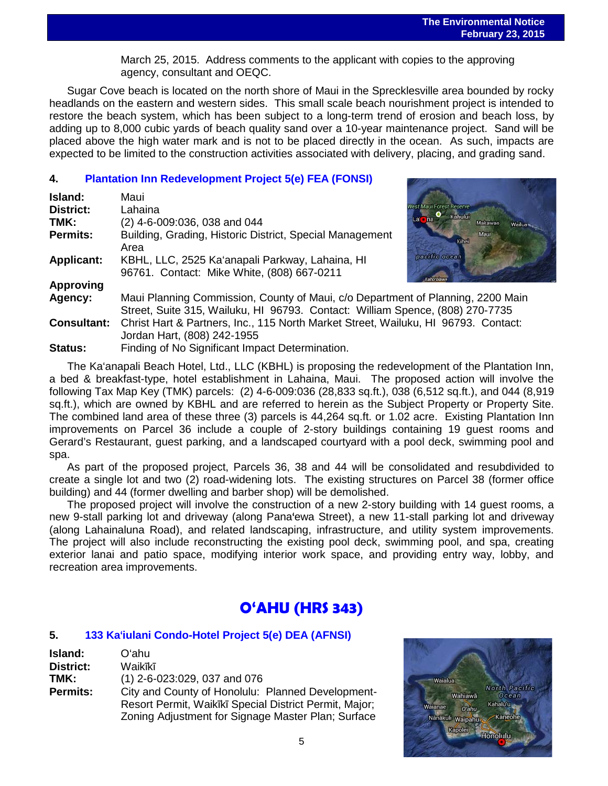March 25, 2015. Address comments to the applicant with copies to the approving agency, consultant and OEQC.

Sugar Cove beach is located on the north shore of Maui in the Sprecklesville area bounded by rocky headlands on the eastern and western sides. This small scale beach nourishment project is intended to restore the beach system, which has been subject to a long-term trend of erosion and beach loss, by adding up to 8,000 cubic yards of beach quality sand over a 10-year maintenance project. Sand will be placed above the high water mark and is not to be placed directly in the ocean. As such, impacts are expected to be limited to the construction activities associated with delivery, placing, and grading sand.

## **4. [Plantation Inn Redevelopment Project 5\(e\) FEA \(FONSI\)](http://oeqc.doh.hawaii.gov/Shared%20Documents/EA_and_EIS_Online_Library/Maui/2010s/2015-02-23-MA-5E-FEA-Plantation-Inn-Redevelopment-Project.pdf)**

| Island:            | Maui                                                                                                                                                             |                               |                |         |
|--------------------|------------------------------------------------------------------------------------------------------------------------------------------------------------------|-------------------------------|----------------|---------|
| District:          | Lahaina                                                                                                                                                          | aui Forest Reserve<br>Kahului |                |         |
| TMK:               | (2) 4-6-009:036, 038 and 044                                                                                                                                     | Lal na                        | <b>Makawao</b> | Wailua- |
| <b>Permits:</b>    | Building, Grading, Historic District, Special Management<br>Area                                                                                                 | Kihei                         | Maui           |         |
| <b>Applicant:</b>  | KBHL, LLC, 2525 Ka'anapali Parkway, Lahaina, HI<br>96761. Contact: Mike White, (808) 667-0211                                                                    | pacific ocean                 |                |         |
| <b>Approving</b>   |                                                                                                                                                                  |                               |                |         |
| Agency:            | Maui Planning Commission, County of Maui, c/o Department of Planning, 2200 Main<br>Street, Suite 315, Wailuku, HI 96793. Contact: William Spence, (808) 270-7735 |                               |                |         |
| <b>Consultant:</b> | Christ Hart & Partners, Inc., 115 North Market Street, Wailuku, HI 96793. Contact:<br>Jordan Hart, (808) 242-1955                                                |                               |                |         |
| <b>Status:</b>     | Finding of No Significant Impact Determination.                                                                                                                  |                               |                |         |

The Ka'anapali Beach Hotel, Ltd., LLC (KBHL) is proposing the redevelopment of the Plantation Inn, a bed & breakfast-type, hotel establishment in Lahaina, Maui. The proposed action will involve the following Tax Map Key (TMK) parcels: (2) 4-6-009:036 (28,833 sq.ft.), 038 (6,512 sq.ft.), and 044 (8,919 sq.ft.), which are owned by KBHL and are referred to herein as the Subject Property or Property Site. The combined land area of these three (3) parcels is 44,264 sq.ft. or 1.02 acre. Existing Plantation Inn improvements on Parcel 36 include a couple of 2-story buildings containing 19 guest rooms and Gerard's Restaurant, guest parking, and a landscaped courtyard with a pool deck, swimming pool and spa.

As part of the proposed project, Parcels 36, 38 and 44 will be consolidated and resubdivided to create a single lot and two (2) road-widening lots. The existing structures on Parcel 38 (former office building) and 44 (former dwelling and barber shop) will be demolished.

The proposed project will involve the construction of a new 2-story building with 14 guest rooms, a new 9-stall parking lot and driveway (along Pana'ewa Street), a new 11-stall parking lot and driveway (along Lahainaluna Road), and related landscaping, infrastructure, and utility system improvements. The project will also include reconstructing the existing pool deck, swimming pool, and spa, creating exterior lanai and patio space, modifying interior work space, and providing entry way, lobby, and recreation area improvements.

# **O'AHU (HRS 343)**

## **5. 133 Ka**'**[iulani Condo-Hotel Project 5\(e\) DEA \(AFNSI\)](http://oeqc.doh.hawaii.gov/Shared%20Documents/EA_and_EIS_Online_Library/Oahu/2010s/2015-02-23-OA-5E-DEA-133-Kaiulani-Condo-Hotel-Project.pdf)**

| Island:         | Oʻahu                                                  |
|-----------------|--------------------------------------------------------|
| District:       | Waikīkī                                                |
| TMK:            | $(1)$ 2-6-023:029, 037 and 076                         |
| <b>Permits:</b> | City and County of Honolulu: Planned Development-      |
|                 | Resort Permit, Waikīkī Special District Permit, Major; |
|                 | Zoning Adjustment for Signage Master Plan; Surface     |

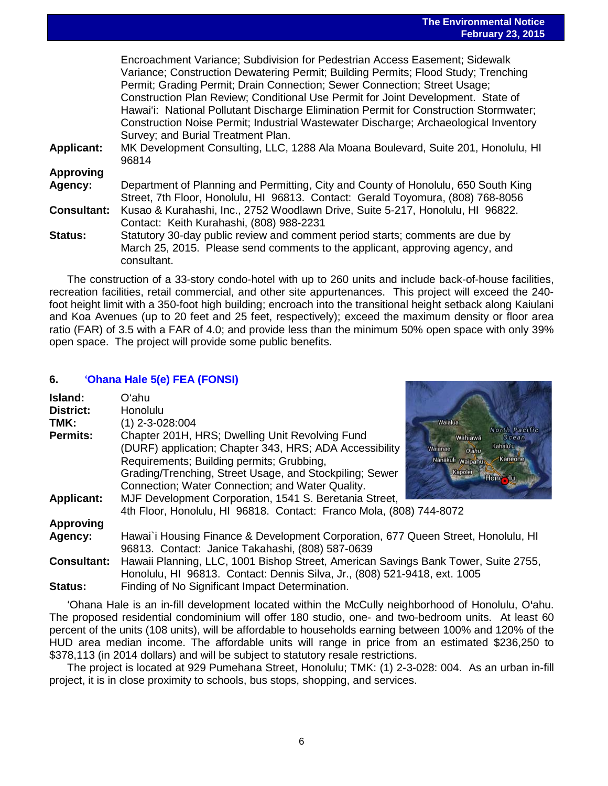Encroachment Variance; Subdivision for Pedestrian Access Easement; Sidewalk Variance; Construction Dewatering Permit; Building Permits; Flood Study; Trenching Permit; Grading Permit; Drain Connection; Sewer Connection; Street Usage; Construction Plan Review; Conditional Use Permit for Joint Development. State of Hawai'i: National Pollutant Discharge Elimination Permit for Construction Stormwater; Construction Noise Permit; Industrial Wastewater Discharge; Archaeological Inventory Survey; and Burial Treatment Plan. **Applicant:** MK Development Consulting, LLC, 1288 Ala Moana Boulevard, Suite 201, Honolulu, HI 96814 **Approving Agency:** Department of Planning and Permitting, City and County of Honolulu, 650 South King Street, 7th Floor, Honolulu, HI 96813. Contact: Gerald Toyomura, (808) 768-8056 **Consultant:** Kusao & Kurahashi, Inc., 2752 Woodlawn Drive, Suite 5-217, Honolulu, HI 96822. Contact: Keith Kurahashi, (808) 988-2231 **Status:** Statutory 30-day public review and comment period starts; comments are due by March 25, 2015. Please send comments to the applicant, approving agency, and consultant.

The construction of a 33-story condo-hotel with up to 260 units and include back-of-house facilities, recreation facilities, retail commercial, and other site appurtenances. This project will exceed the 240 foot height limit with a 350-foot high building; encroach into the transitional height setback along Kaiulani and Koa Avenues (up to 20 feet and 25 feet, respectively); exceed the maximum density or floor area ratio (FAR) of 3.5 with a FAR of 4.0; and provide less than the minimum 50% open space with only 39% open space. The project will provide some public benefits.

## **6.** '**[Ohana Hale 5\(e\) FEA \(FONSI\)](http://oeqc.doh.hawaii.gov/Shared%20Documents/EA_and_EIS_Online_Library/Oahu/2010s/2015-02-23-OA-5E-FEA-Ohana-Hale.pdf)**

| Island:            | Oʻahu                                                                              |                                   |
|--------------------|------------------------------------------------------------------------------------|-----------------------------------|
| <b>District:</b>   | Honolulu                                                                           |                                   |
| TMK:               | $(1)$ 2-3-028:004                                                                  | Waialua                           |
| <b>Permits:</b>    | Chapter 201H, HRS; Dwelling Unit Revolving Fund                                    | North Pacific<br>Wahiawā<br>Doean |
|                    | (DURF) application; Chapter 343, HRS; ADA Accessibility                            | Kahalu'u<br>Waianae<br>O'ahu      |
|                    | Requirements; Building permits; Grubbing,                                          | Kaneohe<br>Nanakuli Waipahu       |
|                    | Grading/Trenching, Street Usage, and Stockpiling; Sewer                            | Kapolei                           |
|                    | Connection; Water Connection; and Water Quality.                                   |                                   |
| <b>Applicant:</b>  | MJF Development Corporation, 1541 S. Beretania Street,                             |                                   |
|                    | 4th Floor, Honolulu, HI 96818. Contact: Franco Mola, (808) 744-8072                |                                   |
| <b>Approving</b>   |                                                                                    |                                   |
| Agency:            | Hawai' i Housing Finance & Development Corporation, 677 Queen Street, Honolulu, HI |                                   |
|                    | 96813. Contact: Janice Takahashi, (808) 587-0639                                   |                                   |
| <b>Consultant:</b> | Hawaii Planning, LLC, 1001 Bishop Street, American Savings Bank Tower, Suite 2755, |                                   |
|                    | Honolulu, HI 96813. Contact: Dennis Silva, Jr., (808) 521-9418, ext. 1005          |                                   |
| <b>Status:</b>     | Finding of No Significant Impact Determination.                                    |                                   |

'Ohana Hale is an in-fill development located within the McCully neighborhood of Honolulu, O'ahu. The proposed residential condominium will offer 180 studio, one- and two-bedroom units. At least 60 percent of the units (108 units), will be affordable to households earning between 100% and 120% of the HUD area median income. The affordable units will range in price from an estimated \$236,250 to \$378,113 (in 2014 dollars) and will be subject to statutory resale restrictions.

The project is located at 929 Pumehana Street, Honolulu; TMK: (1) 2-3-028: 004. As an urban in-fill project, it is in close proximity to schools, bus stops, shopping, and services.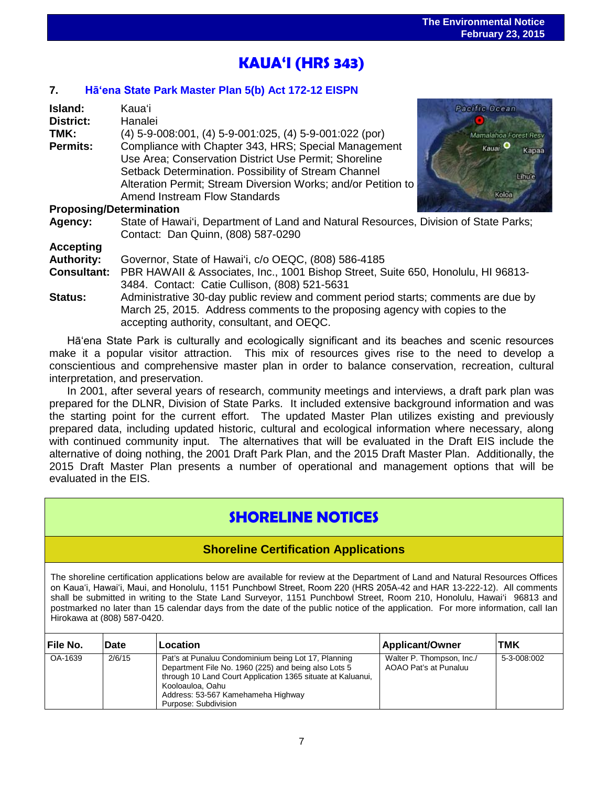# l<br>. **KAUA'I (HRS 343)**

## **7. Hā'ena State [Park Master Plan 5\(b\)](http://oeqc.doh.hawaii.gov/Shared%20Documents/EA_and_EIS_Online_Library/Kauai/2010s/2015-02-23-KA-5B-EISPN-Haena-State-Park-Master-Plan.pdf) Act 172-12 EISPN**

| Island:                        | Kauaʻi                                                                                            | Pacific Ocean               |
|--------------------------------|---------------------------------------------------------------------------------------------------|-----------------------------|
| <b>District:</b>               | Hanalei                                                                                           |                             |
| TMK:                           | $(4)$ 5-9-008:001, (4) 5-9-001:025, (4) 5-9-001:022 (por)                                         | Mamalahoa Forest Resy       |
| <b>Permits:</b>                | Compliance with Chapter 343, HRS; Special Management                                              | Kauai <sup>O</sup><br>Kapaa |
|                                | Use Area; Conservation District Use Permit; Shoreline                                             |                             |
|                                | Setback Determination. Possibility of Stream Channel                                              | Lihu'e                      |
|                                | Alteration Permit; Stream Diversion Works; and/or Petition to                                     |                             |
|                                | Amend Instream Flow Standards                                                                     | Koloa                       |
| <b>Proposing/Determination</b> |                                                                                                   |                             |
| Agency:                        | State of Hawai'i, Department of Land and Natural Resources, Division of State Parks;              |                             |
|                                | Contact: Dan Quinn, (808) 587-0290                                                                |                             |
| <b>Accepting</b>               |                                                                                                   |                             |
| <b>Authority:</b>              | Governor, State of Hawai'i, c/o OEQC, (808) 586-4185                                              |                             |
| <b>Consultant:</b>             | PBR HAWAII & Associates, Inc., 1001 Bishop Street, Suite 650, Honolulu, HI 96813-                 |                             |
|                                | 3484. Contact: Catie Cullison, (808) 521-5631                                                     |                             |
| <b>Status:</b>                 | Administrative 30-day public review and comment period starts; comments are due by                |                             |
|                                | March 25, 2015. Address comments to the proposing agency with copies to the                       |                             |
|                                | accepting authority, consultant, and OEQC.                                                        |                             |
|                                | Hā'ana Stata Park is culturally and acologically significant and its haaches and scenic resources |                             |

Hā'ena State Park is culturally and ecologically significant and its beaches and scenic resources make it a popular visitor attraction. This mix of resources gives rise to the need to develop a conscientious and comprehensive master plan in order to balance conservation, recreation, cultural interpretation, and preservation.

In 2001, after several years of research, community meetings and interviews, a draft park plan was prepared for the DLNR, Division of State Parks. It included extensive background information and was the starting point for the current effort. The updated Master Plan utilizes existing and previously prepared data, including updated historic, cultural and ecological information where necessary, along with continued community input. The alternatives that will be evaluated in the Draft EIS include the alternative of doing nothing, the 2001 Draft Park Plan, and the 2015 Draft Master Plan. Additionally, the 2015 Draft Master Plan presents a number of operational and management options that will be evaluated in the EIS.

# **SHORELINE NOTICES**

## **Shoreline Certification Applications**

The shoreline certification applications below are available for review at the Department of Land and Natural Resources Offices on Kauaʻi, Hawaiʻi, Maui, and Honolulu, 1151 Punchbowl Street, Room 220 (HRS 205A-42 and HAR 13-222-12). All comments shall be submitted in writing to the State Land Surveyor, 1151 Punchbowl Street, Room 210, Honolulu, Hawai'i 96813 and postmarked no later than 15 calendar days from the date of the public notice of the application. For more information, call Ian Hirokawa at (808) 587-0420.

| File No. | Date   | Location                                                                                                                                                                                                                                                     | <b>Applicant/Owner</b>                             | TMK         |
|----------|--------|--------------------------------------------------------------------------------------------------------------------------------------------------------------------------------------------------------------------------------------------------------------|----------------------------------------------------|-------------|
| OA-1639  | 2/6/15 | Pat's at Punaluu Condominium being Lot 17, Planning<br>Department File No. 1960 (225) and being also Lots 5<br>through 10 Land Court Application 1365 situate at Kaluanui,<br>Kooloauloa, Oahu<br>Address: 53-567 Kamehameha Highway<br>Purpose: Subdivision | Walter P. Thompson, Inc./<br>AOAO Pat's at Punaluu | 5-3-008:002 |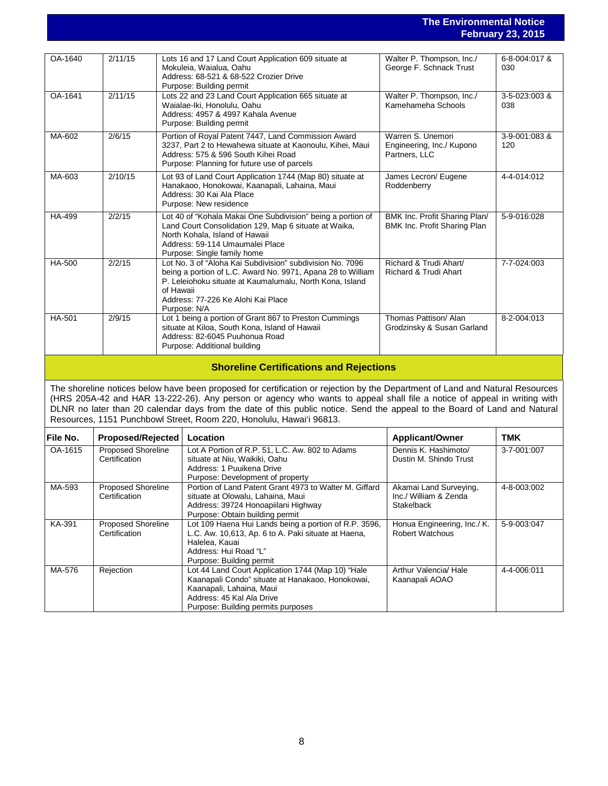### **The Environmental Notice February 23, 2015**

|         |         |                                                                                                                                                                                                                                                         |                                                                 | 1 YWI YAN JI LU JU   |
|---------|---------|---------------------------------------------------------------------------------------------------------------------------------------------------------------------------------------------------------------------------------------------------------|-----------------------------------------------------------------|----------------------|
|         |         |                                                                                                                                                                                                                                                         |                                                                 |                      |
| OA-1640 | 2/11/15 | Lots 16 and 17 Land Court Application 609 situate at<br>Mokuleia, Waialua, Oahu<br>Address: 68-521 & 68-522 Crozier Drive<br>Purpose: Building permit                                                                                                   | Walter P. Thompson, Inc./<br>George F. Schnack Trust            | 6-8-004:017 &<br>030 |
| OA-1641 | 2/11/15 | Lots 22 and 23 Land Court Application 665 situate at<br>Waialae-Iki, Honolulu, Oahu<br>Address: 4957 & 4997 Kahala Avenue<br>Purpose: Building permit                                                                                                   | Walter P. Thompson, Inc./<br>Kamehameha Schools                 | 3-5-023:003 &<br>038 |
| MA-602  | 2/6/15  | Portion of Royal Patent 7447, Land Commission Award<br>3237, Part 2 to Hewahewa situate at Kaonoulu, Kihei, Maui<br>Address: 575 & 596 South Kihei Road<br>Purpose: Planning for future use of parcels                                                  | Warren S. Unemori<br>Engineering, Inc./ Kupono<br>Partners, LLC | 3-9-001:083 &<br>120 |
| MA-603  | 2/10/15 | Lot 93 of Land Court Application 1744 (Map 80) situate at<br>Hanakaoo, Honokowai, Kaanapali, Lahaina, Maui<br>Address: 30 Kai Ala Place<br>Purpose: New residence                                                                                       | James Lecron/ Eugene<br>Roddenberry                             | 4-4-014:012          |
| HA-499  | 2/2/15  | Lot 40 of "Kohala Makai One Subdivision" being a portion of<br>Land Court Consolidation 129, Map 6 situate at Waika,<br>North Kohala, Island of Hawaii<br>Address: 59-114 Umaumalei Place<br>Purpose: Single family home                                | BMK Inc. Profit Sharing Plan/<br>BMK Inc. Profit Sharing Plan   | 5-9-016:028          |
| HA-500  | 2/2/15  | Lot No. 3 of "Aloha Kai Subdivision" subdivision No. 7096<br>being a portion of L.C. Award No. 9971, Apana 28 to William<br>P. Leleiohoku situate at Kaumalumalu, North Kona, Island<br>of Hawaii<br>Address: 77-226 Ke Alohi Kai Place<br>Purpose: N/A | Richard & Trudi Ahart/<br>Richard & Trudi Ahart                 | 7-7-024:003          |
| HA-501  | 2/9/15  | Lot 1 being a portion of Grant 867 to Preston Cummings<br>situate at Kiloa, South Kona, Island of Hawaii<br>Address: 82-6045 Puuhonua Road<br>Purpose: Additional building                                                                              | Thomas Pattison/ Alan<br>Grodzinsky & Susan Garland             | 8-2-004:013          |

### **Shoreline Certifications and Rejections**

The shoreline notices below have been proposed for certification or rejection by the Department of Land and Natural Resources (HRS 205A-42 and HAR 13-222-26). Any person or agency who wants to appeal shall file a notice of appeal in writing with DLNR no later than 20 calendar days from the date of this public notice. Send the appeal to the Board of Land and Natural Resources, 1151 Punchbowl Street, Room 220, Honolulu, Hawai'i 96813.

| File No. | Proposed/Rejected                          | Location                                                                                                                                                                                             | <b>Applicant/Owner</b>                                               | <b>TMK</b>  |
|----------|--------------------------------------------|------------------------------------------------------------------------------------------------------------------------------------------------------------------------------------------------------|----------------------------------------------------------------------|-------------|
| OA-1615  | <b>Proposed Shoreline</b><br>Certification | Lot A Portion of R.P. 51, L.C. Aw. 802 to Adams<br>situate at Niu. Waikiki. Oahu<br>Address: 1 Puuikena Drive<br>Purpose: Development of property                                                    | Dennis K. Hashimoto/<br>Dustin M. Shindo Trust                       | 3-7-001:007 |
| MA-593   | <b>Proposed Shoreline</b><br>Certification | Portion of Land Patent Grant 4973 to Walter M. Giffard<br>situate at Olowalu, Lahaina, Maui<br>Address: 39724 Honoapiilani Highway<br>Purpose: Obtain building permit                                | Akamai Land Surveying,<br>Inc./ William & Zenda<br><b>Stakelback</b> | 4-8-003:002 |
| KA-391   | <b>Proposed Shoreline</b><br>Certification | Lot 109 Haena Hui Lands being a portion of R.P. 3596,<br>L.C. Aw. 10,613, Ap. 6 to A. Paki situate at Haena,<br>Halelea, Kauai<br>Address: Hui Road "L"<br>Purpose: Building permit                  | Honua Engineering, Inc./ K.<br><b>Robert Watchous</b>                | 5-9-003:047 |
| MA-576   | Rejection                                  | Lot 44 Land Court Application 1744 (Map 10) "Hale<br>Kaanapali Condo" situate at Hanakaoo, Honokowai,<br>Kaanapali, Lahaina, Maui<br>Address: 45 Kal Ala Drive<br>Purpose: Building permits purposes | Arthur Valencia/ Hale<br>Kaanapali AOAO                              | 4-4-006:011 |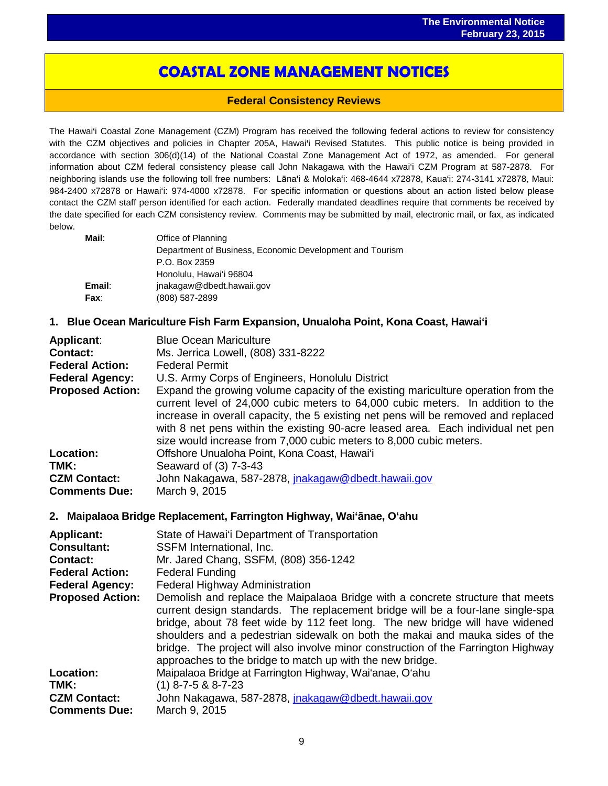# **COASTAL ZONE MANAGEMENT NOTICES**

 $\overline{a}$ 

## **Federal Consistency Reviews**

The Hawai'i Coastal Zone Management (CZM) Program has received the following federal actions to review for consistency with the CZM objectives and policies in Chapter 205A, Hawai'i Revised Statutes. This public notice is being provided in accordance with section 306(d)(14) of the National Coastal Zone Management Act of 1972, as amended. For general information about CZM federal consistency please call John Nakagawa with the Hawai'i CZM Program at 587-2878. For neighboring islands use the following toll free numbers: Lāna'i & Moloka'i: 468-4644 x72878, Kaua'i: 274-3141 x72878, Maui: 984-2400 x72878 or Hawai'i: 974-4000 x72878. For specific information or questions about an action listed below please contact the CZM staff person identified for each action. Federally mandated deadlines require that comments be received by the date specified for each CZM consistency review. Comments may be submitted by mail, electronic mail, or fax, as indicated below.

| Mail:  | Office of Planning                                       |
|--------|----------------------------------------------------------|
|        | Department of Business, Economic Development and Tourism |
|        | P.O. Box 2359                                            |
|        | Honolulu, Hawai'i 96804                                  |
| Email: | jnakagaw@dbedt.hawaii.gov                                |
| Fax:   | (808) 587-2899                                           |

## **1. Blue Ocean Mariculture Fish Farm Expansion, Unualoha Point, Kona Coast, Hawai'i**

| <b>Blue Ocean Mariculture</b><br>Ms. Jerrica Lowell, (808) 331-8222                                                                                                                                                                                                                                                                                                                                                  |
|----------------------------------------------------------------------------------------------------------------------------------------------------------------------------------------------------------------------------------------------------------------------------------------------------------------------------------------------------------------------------------------------------------------------|
| <b>Federal Permit</b>                                                                                                                                                                                                                                                                                                                                                                                                |
| U.S. Army Corps of Engineers, Honolulu District                                                                                                                                                                                                                                                                                                                                                                      |
| Expand the growing volume capacity of the existing mariculture operation from the<br>current level of 24,000 cubic meters to 64,000 cubic meters. In addition to the<br>increase in overall capacity, the 5 existing net pens will be removed and replaced<br>with 8 net pens within the existing 90-acre leased area. Each individual net pen<br>size would increase from 7,000 cubic meters to 8,000 cubic meters. |
| Offshore Unualoha Point, Kona Coast, Hawai'i                                                                                                                                                                                                                                                                                                                                                                         |
| Seaward of (3) 7-3-43                                                                                                                                                                                                                                                                                                                                                                                                |
| John Nakagawa, 587-2878, jnakagaw@dbedt.hawaii.gov<br>March 9, 2015                                                                                                                                                                                                                                                                                                                                                  |
|                                                                                                                                                                                                                                                                                                                                                                                                                      |

## **2. Maipalaoa Bridge Replacement, Farrington Highway, Wai'ānae, O'ahu**

| <b>Applicant:</b><br><b>Consultant:</b><br><b>Contact:</b> | State of Hawai'i Department of Transportation<br>SSFM International, Inc.<br>Mr. Jared Chang, SSFM, (808) 356-1242                                                                                                                                                                                                                                                                                                                                                                    |
|------------------------------------------------------------|---------------------------------------------------------------------------------------------------------------------------------------------------------------------------------------------------------------------------------------------------------------------------------------------------------------------------------------------------------------------------------------------------------------------------------------------------------------------------------------|
| <b>Federal Action:</b>                                     | <b>Federal Funding</b>                                                                                                                                                                                                                                                                                                                                                                                                                                                                |
| <b>Federal Agency:</b>                                     | <b>Federal Highway Administration</b>                                                                                                                                                                                                                                                                                                                                                                                                                                                 |
| <b>Proposed Action:</b>                                    | Demolish and replace the Maipalaoa Bridge with a concrete structure that meets<br>current design standards. The replacement bridge will be a four-lane single-spa<br>bridge, about 78 feet wide by 112 feet long. The new bridge will have widened<br>shoulders and a pedestrian sidewalk on both the makai and mauka sides of the<br>bridge. The project will also involve minor construction of the Farrington Highway<br>approaches to the bridge to match up with the new bridge. |
| Location:                                                  | Maipalaoa Bridge at Farrington Highway, Wai'anae, O'ahu                                                                                                                                                                                                                                                                                                                                                                                                                               |
| TMK:                                                       | $(1)$ 8-7-5 & 8-7-23                                                                                                                                                                                                                                                                                                                                                                                                                                                                  |
| <b>CZM Contact:</b>                                        | John Nakagawa, 587-2878, jnakagaw@dbedt.hawaii.gov                                                                                                                                                                                                                                                                                                                                                                                                                                    |
| <b>Comments Due:</b>                                       | March 9, 2015                                                                                                                                                                                                                                                                                                                                                                                                                                                                         |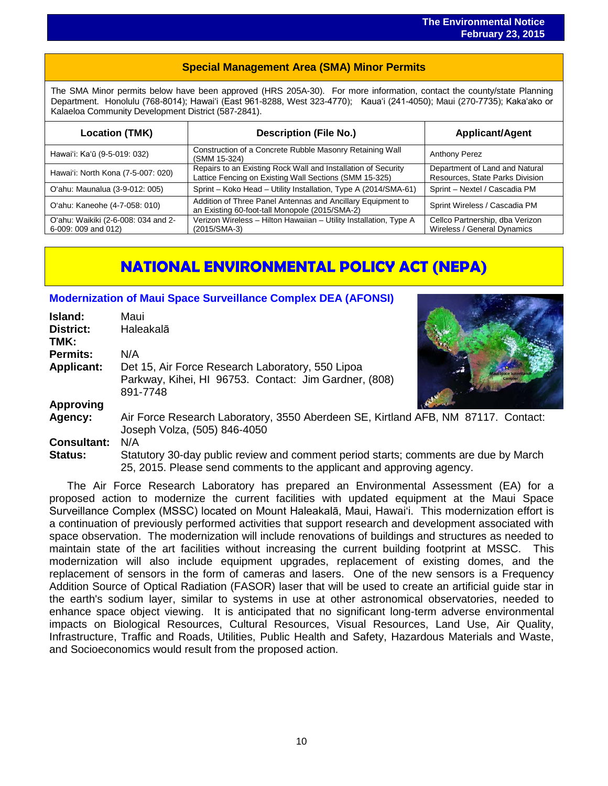## **Special Management Area (SMA) Minor Permits**

i<br>I

The SMA Minor permits below have been approved (HRS 205A-30). For more information, contact the county/state Planning Department. Honolulu (768-8014); Hawaiʻi (East 961-8288, West 323-4770); Kauaʻi (241-4050); Maui (270-7735); Kakaʻako or Kalaeloa Community Development District (587-2841).

| <b>Location (TMK)</b>                                      | <b>Description (File No.)</b>                                                                                           | <b>Applicant/Agent</b>                                            |
|------------------------------------------------------------|-------------------------------------------------------------------------------------------------------------------------|-------------------------------------------------------------------|
| Hawai'i: Ka'ū (9-5-019: 032)                               | Construction of a Concrete Rubble Masonry Retaining Wall<br>(SMM 15-324)                                                | <b>Anthony Perez</b>                                              |
| Hawai'i: North Kona (7-5-007: 020)                         | Repairs to an Existing Rock Wall and Installation of Security<br>Lattice Fencing on Existing Wall Sections (SMM 15-325) | Department of Land and Natural<br>Resources, State Parks Division |
| O'ahu: Maunalua (3-9-012: 005)                             | Sprint - Koko Head - Utility Installation, Type A (2014/SMA-61)                                                         | Sprint - Nextel / Cascadia PM                                     |
| O'ahu: Kaneohe (4-7-058: 010)                              | Addition of Three Panel Antennas and Ancillary Equipment to<br>an Existing 60-foot-tall Monopole (2015/SMA-2)           | Sprint Wireless / Cascadia PM                                     |
| O'ahu: Waikiki (2-6-008: 034 and 2-<br>6-009: 009 and 012) | Verizon Wireless - Hilton Hawaiian - Utility Installation, Type A<br>$(2015/SMA-3)$                                     | Cellco Partnership, dba Verizon<br>Wireless / General Dynamics    |

# **NATIONAL ENVIRONMENTAL POLICY ACT (NEPA)**

## **[Modernization of Maui Space Surveillance Complex DEA](http://oeqc.doh.hawaii.gov/Shared%20Documents/EA_and_EIS_Online_Library/NEPA%20and%20Other%20Documents/2015-02-23-NEPA-DEA-Modernization-of-Maui-Space-Surveillance-Complex.pdf) (AFONSI)**

| Island:           | Maui                                                                                                                  |
|-------------------|-----------------------------------------------------------------------------------------------------------------------|
| <b>District:</b>  | Haleakalā                                                                                                             |
| TMK:              |                                                                                                                       |
| <b>Permits:</b>   | N/A                                                                                                                   |
| <b>Applicant:</b> | Det 15, Air Force Research Laboratory, 550 Lipoa<br>Parkway, Kihei, HI 96753. Contact: Jim Gardner, (808)<br>891-7748 |
| <b>Approving</b>  |                                                                                                                       |
| Agency:           | Air Force Research Laboratory, 3550 Aberdeen SE, Kirtlar<br>Joseph Volza, (505) 846-4050                              |
| Consultant:       | N/A                                                                                                                   |



**Status:** Statutory 30-day public review and comment period starts; comments are due by March 25, 2015. Please send comments to the applicant and approving agency.

The Air Force Research Laboratory has prepared an Environmental Assessment (EA) for a proposed action to modernize the current facilities with updated equipment at the Maui Space Surveillance Complex (MSSC) located on Mount Haleakalā, Maui, Hawai'i. This modernization effort is a continuation of previously performed activities that support research and development associated with space observation. The modernization will include renovations of buildings and structures as needed to maintain state of the art facilities without increasing the current building footprint at MSSC. This modernization will also include equipment upgrades, replacement of existing domes, and the replacement of sensors in the form of cameras and lasers. One of the new sensors is a Frequency Addition Source of Optical Radiation (FASOR) laser that will be used to create an artificial guide star in the earth's sodium layer, similar to systems in use at other astronomical observatories, needed to enhance space object viewing. It is anticipated that no significant long-term adverse environmental impacts on Biological Resources, Cultural Resources, Visual Resources, Land Use, Air Quality, Infrastructure, Traffic and Roads, Utilities, Public Health and Safety, Hazardous Materials and Waste, and Socioeconomics would result from the proposed action.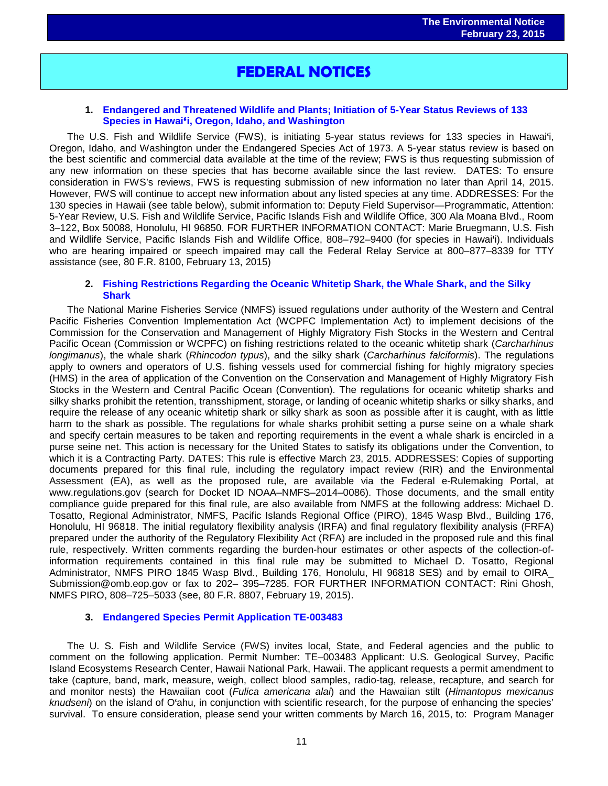## **FEDERAL NOTICES**

 $\overline{a}$ 

### **1. [Endangered and Threatened Wildlife and Plants; Initiation of 5-Year Status Reviews of 133](http://www.gpo.gov/fdsys/pkg/FR-2015-02-13/pdf/2015-03015.pdf)  Species in Hawai'[i, Oregon, Idaho, and Washington](http://www.gpo.gov/fdsys/pkg/FR-2015-02-13/pdf/2015-03015.pdf)**

The U.S. Fish and Wildlife Service (FWS), is initiating 5-year status reviews for 133 species in Hawai'i, Oregon, Idaho, and Washington under the Endangered Species Act of 1973. A 5-year status review is based on the best scientific and commercial data available at the time of the review; FWS is thus requesting submission of any new information on these species that has become available since the last review. DATES: To ensure consideration in FWS's reviews, FWS is requesting submission of new information no later than April 14, 2015. However, FWS will continue to accept new information about any listed species at any time. ADDRESSES: For the 130 species in Hawaii (see table below), submit information to: Deputy Field Supervisor—Programmatic, Attention: 5-Year Review, U.S. Fish and Wildlife Service, Pacific Islands Fish and Wildlife Office, 300 Ala Moana Blvd., Room 3–122, Box 50088, Honolulu, HI 96850. FOR FURTHER INFORMATION CONTACT: Marie Bruegmann, U.S. Fish and Wildlife Service, Pacific Islands Fish and Wildlife Office, 808–792–9400 (for species in Hawai'i). Individuals who are hearing impaired or speech impaired may call the Federal Relay Service at 800–877–8339 for TTY assistance (see, 80 F.R. 8100, February 13, 2015)

### **2. [Fishing Restrictions Regarding the Oceanic Whitetip Shark, the Whale Shark, and the Silky](http://www.gpo.gov/fdsys/pkg/FR-2015-02-19/pdf/2015-03388.pdf)  [Shark](http://www.gpo.gov/fdsys/pkg/FR-2015-02-19/pdf/2015-03388.pdf)**

The National Marine Fisheries Service (NMFS) issued regulations under authority of the Western and Central Pacific Fisheries Convention Implementation Act (WCPFC Implementation Act) to implement decisions of the Commission for the Conservation and Management of Highly Migratory Fish Stocks in the Western and Central Pacific Ocean (Commission or WCPFC) on fishing restrictions related to the oceanic whitetip shark (*Carcharhinus longimanus*), the whale shark (*Rhincodon typus*), and the silky shark (*Carcharhinus falciformis*). The regulations apply to owners and operators of U.S. fishing vessels used for commercial fishing for highly migratory species (HMS) in the area of application of the Convention on the Conservation and Management of Highly Migratory Fish Stocks in the Western and Central Pacific Ocean (Convention). The regulations for oceanic whitetip sharks and silky sharks prohibit the retention, transshipment, storage, or landing of oceanic whitetip sharks or silky sharks, and require the release of any oceanic whitetip shark or silky shark as soon as possible after it is caught, with as little harm to the shark as possible. The regulations for whale sharks prohibit setting a purse seine on a whale shark and specify certain measures to be taken and reporting requirements in the event a whale shark is encircled in a purse seine net. This action is necessary for the United States to satisfy its obligations under the Convention, to which it is a Contracting Party. DATES: This rule is effective March 23, 2015. ADDRESSES: Copies of supporting documents prepared for this final rule, including the regulatory impact review (RIR) and the Environmental Assessment (EA), as well as the proposed rule, are available via the Federal e-Rulemaking Portal, at www.regulations.gov (search for Docket ID NOAA–NMFS–2014–0086). Those documents, and the small entity compliance guide prepared for this final rule, are also available from NMFS at the following address: Michael D. Tosatto, Regional Administrator, NMFS, Pacific Islands Regional Office (PIRO), 1845 Wasp Blvd., Building 176, Honolulu, HI 96818. The initial regulatory flexibility analysis (IRFA) and final regulatory flexibility analysis (FRFA) prepared under the authority of the Regulatory Flexibility Act (RFA) are included in the proposed rule and this final rule, respectively. Written comments regarding the burden-hour estimates or other aspects of the collection-ofinformation requirements contained in this final rule may be submitted to Michael D. Tosatto, Regional Administrator, NMFS PIRO 1845 Wasp Blvd., Building 176, Honolulu, HI 96818 SES) and by email to OIRA\_ Submission@omb.eop.gov or fax to 202– 395–7285. FOR FURTHER INFORMATION CONTACT: Rini Ghosh, NMFS PIRO, 808–725–5033 (see, 80 F.R. 8807, February 19, 2015).

### **3. [Endangered Species Permit Application TE-003483](http://www.gpo.gov/fdsys/pkg/FR-2015-02-13/pdf/2015-03024.pdf)**

The U. S. Fish and Wildlife Service (FWS) invites local, State, and Federal agencies and the public to comment on the following application. Permit Number: TE–003483 Applicant: U.S. Geological Survey, Pacific Island Ecosystems Research Center, Hawaii National Park, Hawaii. The applicant requests a permit amendment to take (capture, band, mark, measure, weigh, collect blood samples, radio-tag, release, recapture, and search for and monitor nests) the Hawaiian coot (*Fulica americana alai*) and the Hawaiian stilt (*Himantopus mexicanus knudseni*) on the island of O'ahu, in conjunction with scientific research, for the purpose of enhancing the species' survival. To ensure consideration, please send your written comments by March 16, 2015, to: Program Manager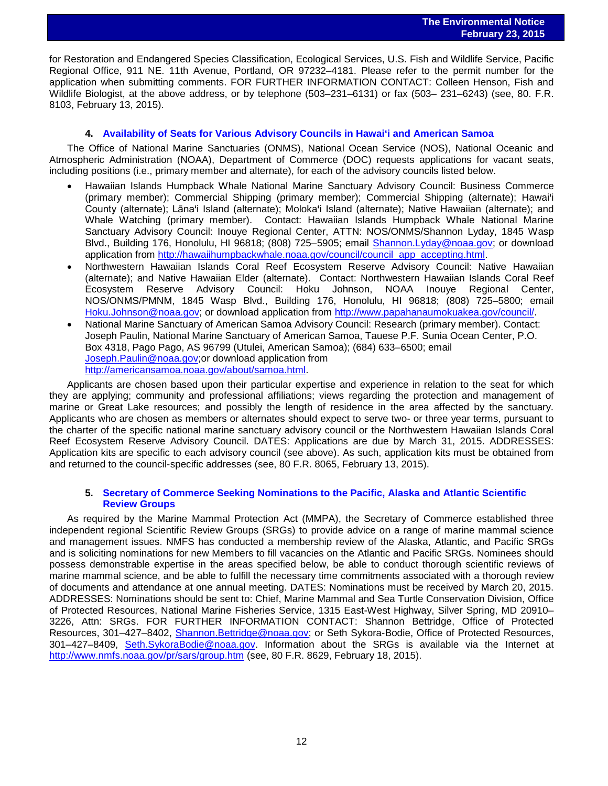for Restoration and Endangered Species Classification, Ecological Services, U.S. Fish and Wildlife Service, Pacific Regional Office, 911 NE. 11th Avenue, Portland, OR 97232–4181. Please refer to the permit number for the application when submitting comments. FOR FURTHER INFORMATION CONTACT: Colleen Henson, Fish and Wildlife Biologist, at the above address, or by telephone (503–231–6131) or fax (503– 231–6243) (see, 80. F.R. 8103, February 13, 2015).

## **4. [Availability of Seats for Various Advisory Councils in Hawai'i and American Samoa](http://www.gpo.gov/fdsys/pkg/FR-2015-02-13/pdf/2015-02792.pdf)**

The Office of National Marine Sanctuaries (ONMS), National Ocean Service (NOS), National Oceanic and Atmospheric Administration (NOAA), Department of Commerce (DOC) requests applications for vacant seats, including positions (i.e., primary member and alternate), for each of the advisory councils listed below.

- Hawaiian Islands Humpback Whale National Marine Sanctuary Advisory Council: Business Commerce (primary member); Commercial Shipping (primary member); Commercial Shipping (alternate); Hawai'i County (alternate); Lāna'i Island (alternate); Moloka'i Island (alternate); Native Hawaiian (alternate); and Whale Watching (primary member). Contact: Hawaiian Islands Humpback Whale National Marine Sanctuary Advisory Council: Inouye Regional Center, ATTN: NOS/ONMS/Shannon Lyday, 1845 Wasp Blvd., Building 176, Honolulu, HI 96818; (808) 725–5905; email [Shannon.Lyday@noaa.gov;](mailto:Shannon.Lyday@noaa.gov) or download application from [http://hawaiihumpbackwhale.noaa.gov/council/council\\_app\\_accepting.html.](http://hawaiihumpbackwhale.noaa.gov/council/council_app_accepting.html)
- Northwestern Hawaiian Islands Coral Reef Ecosystem Reserve Advisory Council: Native Hawaiian (alternate); and Native Hawaiian Elder (alternate). Contact: Northwestern Hawaiian Islands Coral Reef Ecosystem Reserve Advisory Council: Hoku Johnson, NOAA Inouye NOS/ONMS/PMNM, 1845 Wasp Blvd., Building 176, Honolulu, HI 96818; (808) 725–5800; email [Hoku.Johnson@noaa.gov;](mailto:Hoku.Johnson@noaa.gov) or download application from [http://www.papahanaumokuakea.gov/council/.](http://www.papahanaumokuakea.gov/council/)
- National Marine Sanctuary of American Samoa Advisory Council: Research (primary member). Contact: Joseph Paulin, National Marine Sanctuary of American Samoa, Tauese P.F. Sunia Ocean Center, P.O. Box 4318, Pago Pago, AS 96799 (Utulei, American Samoa); (684) 633–6500; email [Joseph.Paulin@noaa.gov;](mailto:Joseph.Paulin@noaa.gov)or download application from [http://americansamoa.noaa.gov/about/samoa.html.](http://americansamoa.noaa.gov/about/samoa.html)

Applicants are chosen based upon their particular expertise and experience in relation to the seat for which they are applying; community and professional affiliations; views regarding the protection and management of marine or Great Lake resources; and possibly the length of residence in the area affected by the sanctuary. Applicants who are chosen as members or alternates should expect to serve two- or three year terms, pursuant to the charter of the specific national marine sanctuary advisory council or the Northwestern Hawaiian Islands Coral Reef Ecosystem Reserve Advisory Council. DATES: Applications are due by March 31, 2015. ADDRESSES: Application kits are specific to each advisory council (see above). As such, application kits must be obtained from and returned to the council-specific addresses (see, 80 F.R. 8065, February 13, 2015).

### **5. [Secretary of Commerce Seeking Nominations to the Pacific, Alaska and Atlantic Scientific](http://www.gpo.gov/fdsys/pkg/FR-2015-02-18/pdf/2015-03196.pdf)  [Review Groups](http://www.gpo.gov/fdsys/pkg/FR-2015-02-18/pdf/2015-03196.pdf)**

As required by the Marine Mammal Protection Act (MMPA), the Secretary of Commerce established three independent regional Scientific Review Groups (SRGs) to provide advice on a range of marine mammal science and management issues. NMFS has conducted a membership review of the Alaska, Atlantic, and Pacific SRGs and is soliciting nominations for new Members to fill vacancies on the Atlantic and Pacific SRGs. Nominees should possess demonstrable expertise in the areas specified below, be able to conduct thorough scientific reviews of marine mammal science, and be able to fulfill the necessary time commitments associated with a thorough review of documents and attendance at one annual meeting. DATES: Nominations must be received by March 20, 2015. ADDRESSES: Nominations should be sent to: Chief, Marine Mammal and Sea Turtle Conservation Division, Office of Protected Resources, National Marine Fisheries Service, 1315 East-West Highway, Silver Spring, MD 20910– 3226, Attn: SRGs. FOR FURTHER INFORMATION CONTACT: Shannon Bettridge, Office of Protected Resources, 301-427-8402, [Shannon.Bettridge@noaa.gov;](mailto:Shannon.Bettridge@noaa.gov) or Seth Sykora-Bodie, Office of Protected Resources, 301-427-8409, [Seth.SykoraBodie@noaa.gov.](mailto:Seth.SykoraBodie@noaa.gov) Information about the SRGs is available via the Internet at <http://www.nmfs.noaa.gov/pr/sars/group.htm> (see, 80 F.R. 8629, February 18, 2015).